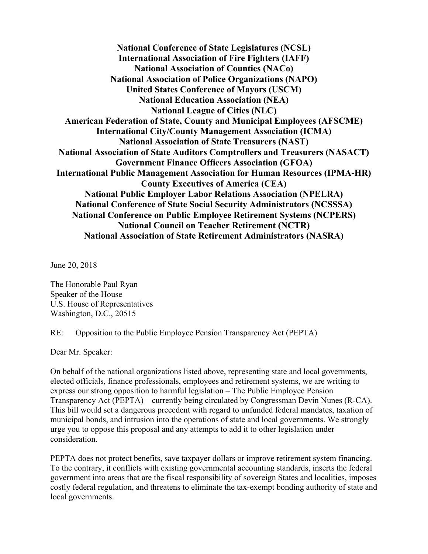**National Conference of State Legislatures (NCSL) International Association of Fire Fighters (IAFF) National Association of Counties (NACo) National Association of Police Organizations (NAPO) United States Conference of Mayors (USCM) National Education Association (NEA) National League of Cities (NLC) American Federation of State, County and Municipal Employees (AFSCME) International City/County Management Association (ICMA) National Association of State Treasurers (NAST) National Association of State Auditors Comptrollers and Treasurers (NASACT) Government Finance Officers Association (GFOA) International Public Management Association for Human Resources (IPMA-HR) County Executives of America (CEA) National Public Employer Labor Relations Association (NPELRA) National Conference of State Social Security Administrators (NCSSSA) National Conference on Public Employee Retirement Systems (NCPERS) National Council on Teacher Retirement (NCTR) National Association of State Retirement Administrators (NASRA)**

June 20, 2018

The Honorable Paul Ryan Speaker of the House U.S. House of Representatives Washington, D.C., 20515

RE: Opposition to the Public Employee Pension Transparency Act (PEPTA)

Dear Mr. Speaker:

On behalf of the national organizations listed above, representing state and local governments, elected officials, finance professionals, employees and retirement systems, we are writing to express our strong opposition to harmful legislation – The Public Employee Pension Transparency Act (PEPTA) – currently being circulated by Congressman Devin Nunes (R-CA). This bill would set a dangerous precedent with regard to unfunded federal mandates, taxation of municipal bonds, and intrusion into the operations of state and local governments. We strongly urge you to oppose this proposal and any attempts to add it to other legislation under consideration.

PEPTA does not protect benefits, save taxpayer dollars or improve retirement system financing. To the contrary, it conflicts with existing governmental accounting standards, inserts the federal government into areas that are the fiscal responsibility of sovereign States and localities, imposes costly federal regulation, and threatens to eliminate the tax-exempt bonding authority of state and local governments.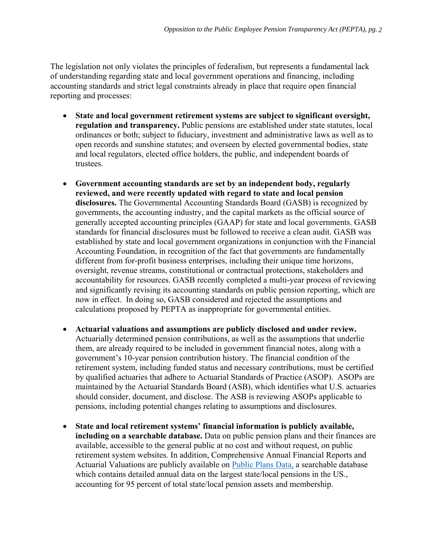The legislation not only violates the principles of federalism, but represents a fundamental lack of understanding regarding state and local government operations and financing, including accounting standards and strict legal constraints already in place that require open financial reporting and processes:

- **State and local government retirement systems are subject to significant oversight, regulation and transparency.** Public pensions are established under state statutes, local ordinances or both; subject to fiduciary, investment and administrative laws as well as to open records and sunshine statutes; and overseen by elected governmental bodies, state and local regulators, elected office holders, the public, and independent boards of trustees.
- **Government accounting standards are set by an independent body, regularly reviewed, and were recently updated with regard to state and local pension disclosures.** The Governmental Accounting Standards Board (GASB) is recognized by governments, the accounting industry, and the capital markets as the official source of generally accepted accounting principles (GAAP) for state and local governments. GASB standards for financial disclosures must be followed to receive a clean audit. GASB was established by state and local government organizations in conjunction with the Financial Accounting Foundation, in recognition of the fact that governments are fundamentally different from for-profit business enterprises, including their unique time horizons, oversight, revenue streams, constitutional or contractual protections, stakeholders and accountability for resources. GASB recently completed a multi-year process of reviewing and significantly revising its accounting standards on public pension reporting, which are now in effect. In doing so, GASB considered and rejected the assumptions and calculations proposed by PEPTA as inappropriate for governmental entities.
- **Actuarial valuations and assumptions are publicly disclosed and under review.**  Actuarially determined pension contributions, as well as the assumptions that underlie them, are already required to be included in government financial notes, along with a government's 10-year pension contribution history. The financial condition of the retirement system, including funded status and necessary contributions, must be certified by qualified actuaries that adhere to Actuarial Standards of Practice (ASOP). ASOPs are maintained by the Actuarial Standards Board (ASB), which identifies what U.S. actuaries should consider, document, and disclose. The ASB is reviewing ASOPs applicable to pensions, including potential changes relating to assumptions and disclosures.
- **State and local retirement systems' financial information is publicly available, including on a searchable database.** Data on public pension plans and their finances are available, accessible to the general public at no cost and without request, on public retirement system websites. In addition, Comprehensive Annual Financial Reports and Actuarial Valuations are publicly available on Public Plans Data, a searchable database which contains detailed annual data on the largest state/local pensions in the US., accounting for 95 percent of total state/local pension assets and membership.